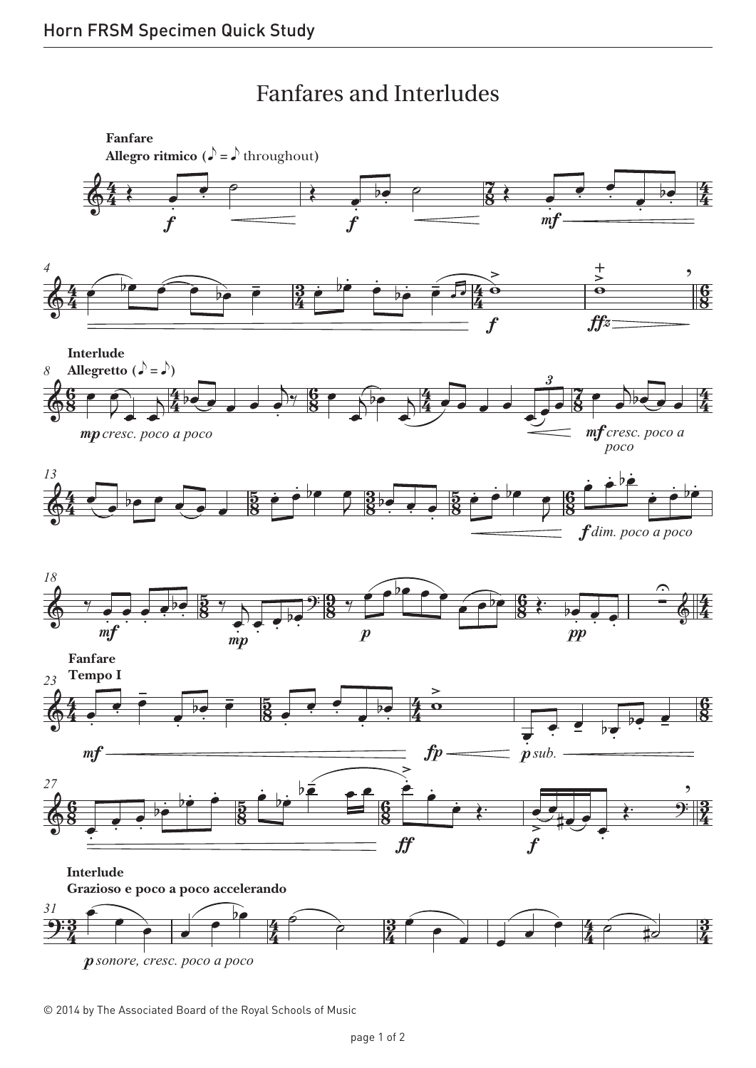## Fanfares and Interludes Fanfares and Interludes